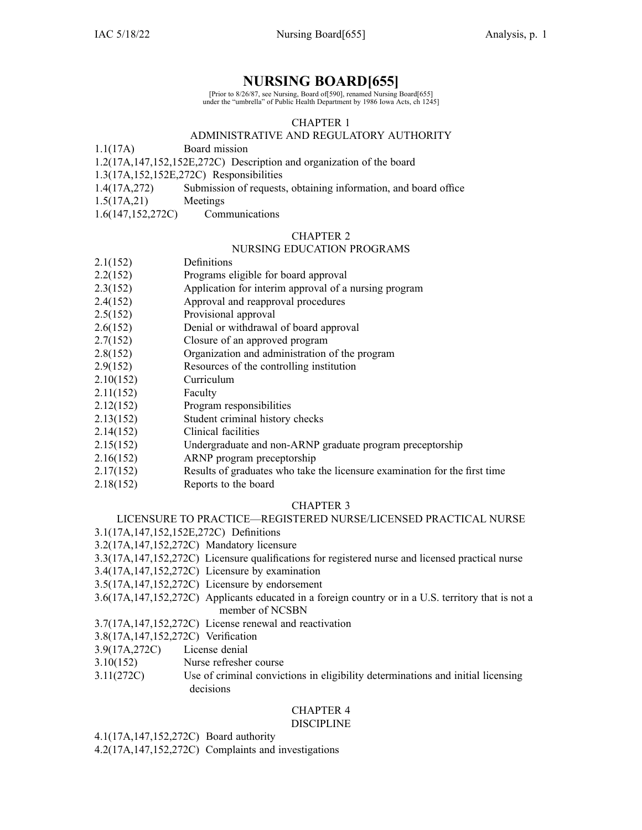## **NURSING BOARD[655]**

[Prior to 8/26/87, see Nursing, Board of[590], renamed Nursing Board[655] under the "umbrella" of Public Health Department by 1986 Iowa Acts, ch 1245]

## CHAPTER 1

## ADMINISTRATIVE AND REGULATORY AUTHORITY

1.1(17A) Board mission

1.2(17A,147,152,152E,272C) Description and organization of the board

1.3(17A,152,152E,272C) Responsibilities

- 1.4(17A,272) Submission of requests, obtaining information, and board office
- 1.5(17A,21) Meetings
- 1.6(147,152,272C) Communications

### CHAPTER 2

## NURSING EDUCATION PROGRAMS

| 2.1(152) | Definitions |
|----------|-------------|
|----------|-------------|

- 2.2(152) Programs eligible for board approval
- 2.3(152) Application for interim approval of <sup>a</sup> nursing program
- 2.4(152) Approval and reapproval procedures
- 2.5(152) Provisional approval
- 2.6(152) Denial or withdrawal of board approval
- 2.7(152) Closure of an approved program
- 2.8(152) Organization and administration of the program
- 2.9(152) Resources of the controlling institution
- 2.10(152) Curriculum
- 2.11(152) Faculty
- 2.12(152) Program responsibilities
- 2.13(152) Student criminal history checks
- 2.14(152) Clinical facilities
- 2.15(152) Undergraduate and non-ARNP graduate program preceptorship
- 2.16(152) ARNP program preceptorship
- 2.17(152) Results of graduates who take the licensure examination for the first time
- 2.18(152) Reports to the board

### CHAPTER 3

## LICENSURE TO PRACTICE—REGISTERED NURSE/LICENSED PRACTICAL NURSE

3.1(17A,147,152,152E,272C) Definitions

- 3.2(17A,147,152,272C) Mandatory licensure
- 3.3(17A,147,152,272C) Licensure qualifications for registered nurse and licensed practical nurse
- 3.4(17A,147,152,272C) Licensure by examination
- 3.5(17A,147,152,272C) Licensure by endorsement
- 3.6(17A,147,152,272C) Applicants educated in <sup>a</sup> foreign country or in <sup>a</sup> U.S. territory that is not <sup>a</sup> member of NCSBN

3.7(17A,147,152,272C) License renewal and reactivation

- 3.8(17A,147,152,272C) Verification
- 3.9(17A,272C) License denial
- 3.10(152) Nurse refresher course
- 3.11(272C) Use of criminal convictions in eligibility determinations and initial licensing decisions

#### CHAPTER 4 DISCIPLINE

4.1(17A,147,152,272C) Board authority

4.2(17A,147,152,272C) Complaints and investigations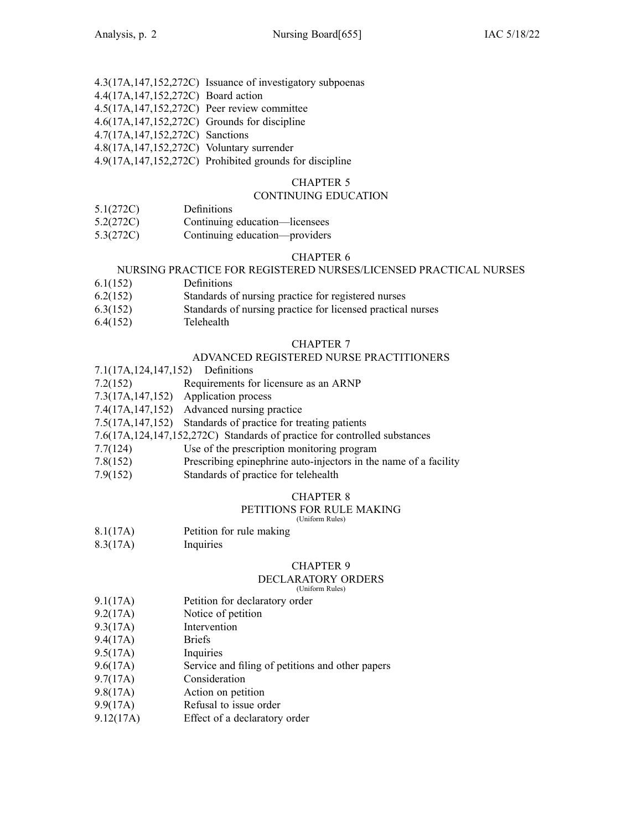|                                                 | 4.3(17A,147,152,272C) Issuance of investigatory subpoenas |
|-------------------------------------------------|-----------------------------------------------------------|
| 4.4(17A, 147, 152, 272C) Board action           |                                                           |
| 4.5(17A,147,152,272C) Peer review committee     |                                                           |
| 4.6(17A, 147, 152, 272C) Grounds for discipline |                                                           |
| 4.7(17A, 147, 152, 272C) Sanctions              |                                                           |
| 4.8(17A,147,152,272C) Voluntary surrender       |                                                           |
|                                                 | 4.9(17A,147,152,272C) Prohibited grounds for discipline   |

## CHAPTER 5

## CONTINUING EDUCATION

- 5.1(272C) Definitions
- 5.2(272C) Continuing education—licensees
- 5.3(272C) Continuing education—providers

#### CHAPTER 6

#### NURSING PRACTICE FOR REGISTERED NURSES/LICENSED PRACTICAL NURSES

- 6.1(152) Definitions
- 6.2(152) Standards of nursing practice for registered nurses
- 6.3(152) Standards of nursing practice for licensed practical nurses
- 6.4(152) Telehealth

#### CHAPTER 7

## ADVANCED REGISTERED NURSE PRACTITIONERS

- 7.1(17A,124,147,152) Definitions
- 7.2(152) Requirements for licensure as an ARNP
- 7.3(17A,147,152) Application process
- 7.4(17A,147,152) Advanced nursing practice
- 7.5(17A,147,152) Standards of practice for treating patients
- 7.6(17A,124,147,152,272C) Standards of practice for controlled substances
- 7.7(124) Use of the prescription monitoring program
- 7.8(152) Prescribing epinephrine auto-injectors in the name of <sup>a</sup> facility
- 7.9(152) Standards of practice for telehealth

#### CHAPTER 8

#### PETITIONS FOR RULE MAKING

(Uniform Rules)

- 8.1(17A) Petition for rule making
- 8.3(17A) Inquiries

### CHAPTER 9

#### DECLARATORY ORDERS

(Uniform Rules)

- 9.1(17A) Petition for declaratory order
- 9.2(17A) Notice of petition
- 9.3(17A) Intervention
- 9.4(17A) Briefs
- 9.5(17A) Inquiries
- 9.6(17A) Service and filing of petitions and other papers
- 9.7(17A) Consideration
- 9.8(17A) Action on petition
- 9.9(17A) Refusal to issue order
- 9.12(17A) Effect of <sup>a</sup> declaratory order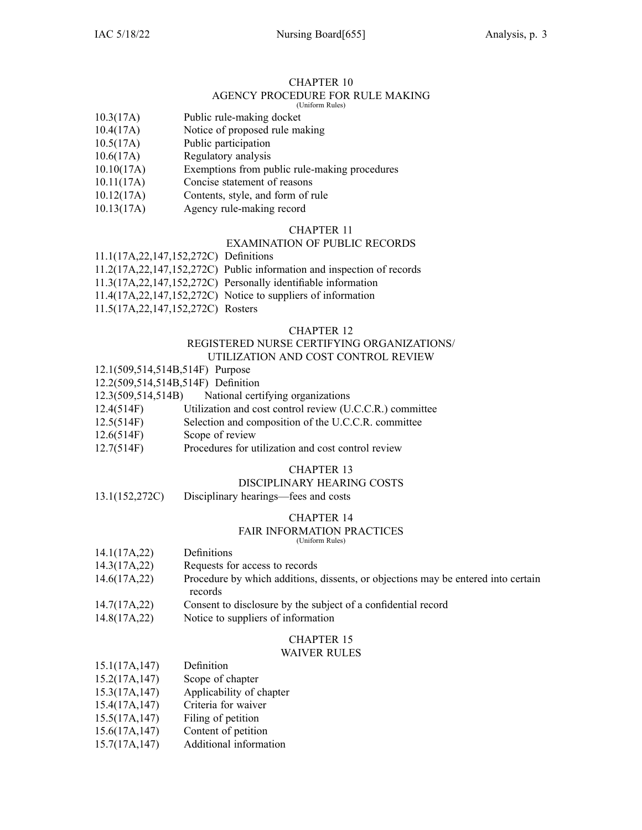### CHAPTER 10

#### AGENCY PROCEDURE FOR RULE MAKING (Uniform Rules)

- 
- 10.3(17A) Public rule-making docket
- 10.4(17A) Notice of proposed rule making
- 10.5(17A) Public participation
- 10.6(17A) Regulatory analysis
- 10.10(17A) Exemptions from public rule-making procedures
- 10.11(17A) Concise statement of reasons
- 10.12(17A) Contents, style, and form of rule
- 10.13(17A) Agency rule-making record

## CHAPTER 11

## EXAMINATION OF PUBLIC RECORDS

11.1(17A,22,147,152,272C) Definitions

- 11.2(17A,22,147,152,272C) Public information and inspection of records
- 11.3(17A,22,147,152,272C) Personally identifiable information
- 11.4(17A,22,147,152,272C) Notice to suppliers of information
- 11.5(17A,22,147,152,272C) Rosters

#### CHAPTER 12

#### REGISTERED NURSE CERTIFYING ORGANIZATIONS/ UTILIZATION AND COST CONTROL REVIEW

- 12.1(509,514,514B,514F) Purpose
- 12.2(509,514,514B,514F) Definition
- 12.3(509,514,514B) National certifying organizations
- 12.4(514F) Utilization and cost control review (U.C.C.R.) committee
- 12.5(514F) Selection and composition of the U.C.C.R. committee
- 12.6(514F) Scope of review
- 12.7(514F) Procedures for utilization and cost control review

## CHAPTER 13

## DISCIPLINARY HEARING COSTS

13.1(152,272C) Disciplinary hearings—fees and costs

#### CHAPTER 14

#### FAIR INFORMATION PRACTICES

(Uniform Rules)

- 14.1(17A,22) Definitions
- 14.3(17A,22) Requests for access to records
- 14.6(17A,22) Procedure by which additions, dissents, or objections may be entered into certain records
- 14.7(17A,22) Consent to disclosure by the subject of <sup>a</sup> confidential record
- 14.8(17A,22) Notice to suppliers of information

# CHAPTER 15

## WAIVER RULES

| 15.1(17A, 147)        | Definition                      |
|-----------------------|---------------------------------|
| 15.2(17A, 147)        | Scope of chapter                |
| 15.3(17A, 147)        | Applicability of chapter        |
| 15.4(17A, 147)        | Criteria for waiver             |
| 15.5(17A, 147)        | Filing of petition              |
| $1.5$ $(1.7)$ $(1.7)$ | $\cap$ $\ldots$ $\cap$ $\ldots$ |

- 15.6(17A,147) Content of petition
- 15.7(17A,147) Additional information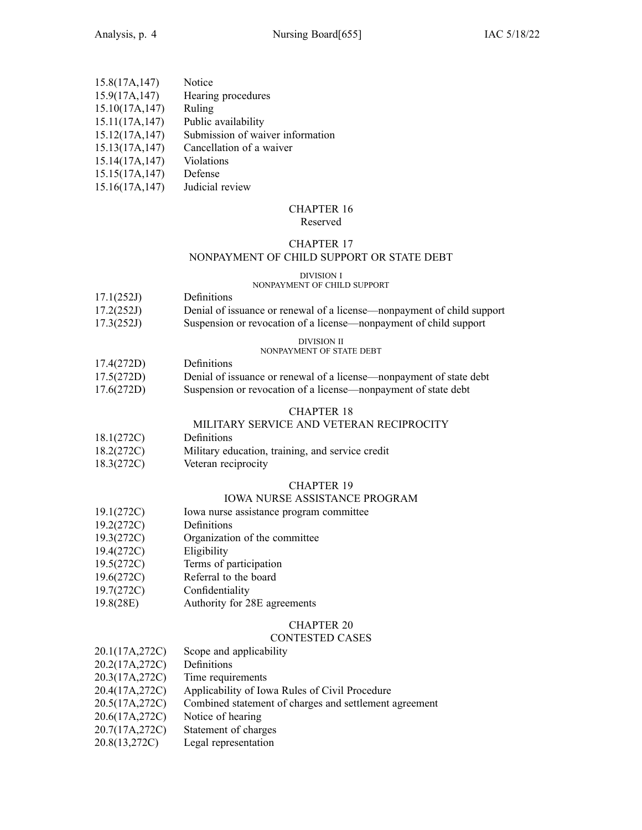| 15.8(17A, 147)  | Notice                           |
|-----------------|----------------------------------|
| 15.9(17A, 147)  | Hearing procedures               |
| 15.10(17A, 147) | Ruling                           |
| 15.11(17A, 147) | Public availability              |
| 15.12(17A, 147) | Submission of waiver information |
| 15.13(17A, 147) | Cancellation of a waiver         |
| 15.14(17A, 147) | Violations                       |
| 15.15(17A, 147) | Defense                          |
| 15.16(17A, 147) | Judicial review                  |

# CHAPTER 16

## Reserved

## CHAPTER 17

## NONPAYMENT OF CHILD SUPPORT OR STATE DEBT

## DIVISION I

## NONPAYMENT OF CHILD SUPPORT

| 17.1(252J)                                | Definitions |  |  |
|-------------------------------------------|-------------|--|--|
| $\sim$ $\sim$ $\sim$ $\sim$ $\sim$ $\sim$ |             |  |  |

| 17.2(252J) | Denial of issuance or renewal of a license—nonpayment of child support |
|------------|------------------------------------------------------------------------|
| 17.3(252J) | Suspension or revocation of a license—nonpayment of child support      |

#### DIVISION II NONPAYMENT OF STATE DEBT

- 17.4(272D) Definitions
- 17.5(272D) Denial of issuance or renewal of <sup>a</sup> license—nonpayment of state debt 17.6(272D) Suspension or revocation of <sup>a</sup> license—nonpayment of state debt

## CHAPTER 18

## MILITARY SERVICE AND VETERAN RECIPROCITY

- 18.1(272C) Definitions
- 18.2(272C) Military education, training, and service credit
- 18.3(272C) Veteran reciprocity

## CHAPTER 19

## IOWA NURSE ASSISTANCE PROGRAM

- 19.1(272C) Iowa nurse assistance program committee
- 19.2(272C) Definitions
- 19.3(272C) Organization of the committee
- 19.4(272C) Eligibility
- 19.5(272C) Terms of participation
- 19.6(272C) Referral to the board
- 19.7(272C) Confidentiality
- 19.8(28E) Authority for 28E agreements

## CHAPTER 20

## CONTESTED CASES

| 20.1(17A,272C) | Scope and applicability                                |
|----------------|--------------------------------------------------------|
| 20.2(17A,272C) | Definitions                                            |
| 20.3(17A,272C) | Time requirements                                      |
| 20.4(17A,272C) | Applicability of Iowa Rules of Civil Procedure         |
| 20.5(17A,272C) | Combined statement of charges and settlement agreement |

- 20.6(17A,272C) Notice of hearing
- 20.7(17A,272C) Statement of charges
- 20.8(13,272C) Legal representation